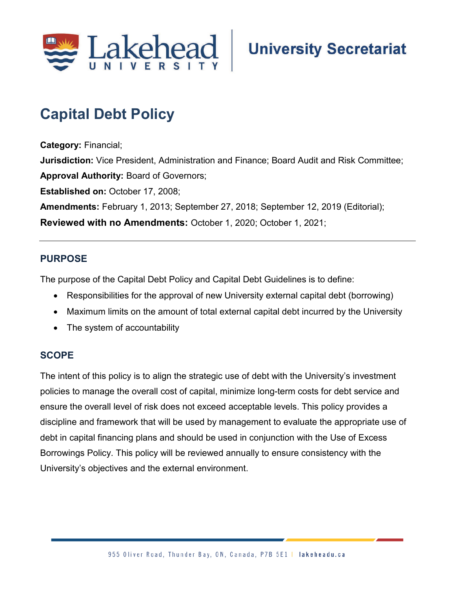

# **Capital Debt Policy**

**Category:** Financial; **Jurisdiction:** Vice President, Administration and Finance; Board Audit and Risk Committee; **Approval Authority:** Board of Governors; **Established on:** October 17, 2008; **Amendments:** February 1, 2013; September 27, 2018; September 12, 2019 (Editorial); **Reviewed with no Amendments:** October 1, 2020; October 1, 2021;

## **PURPOSE**

The purpose of the Capital Debt Policy and Capital Debt Guidelines is to define:

- Responsibilities for the approval of new University external capital debt (borrowing)
- Maximum limits on the amount of total external capital debt incurred by the University
- The system of accountability

#### **SCOPE**

The intent of this policy is to align the strategic use of debt with the University's investment policies to manage the overall cost of capital, minimize long-term costs for debt service and ensure the overall level of risk does not exceed acceptable levels. This policy provides a discipline and framework that will be used by management to evaluate the appropriate use of debt in capital financing plans and should be used in conjunction with the Use of Excess Borrowings Policy. This policy will be reviewed annually to ensure consistency with the University's objectives and the external environment.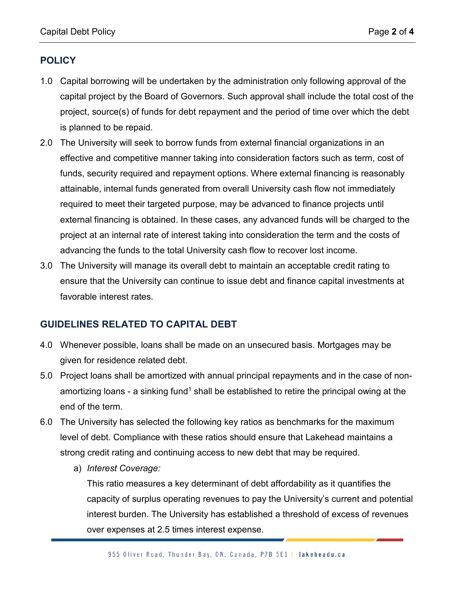## **POLICY**

- 1.0 Capital borrowing will be undertaken by the administration only following approval of the capital project by the Board of Governors. Such approval shall include the total cost of the project, source(s) of funds for debt repayment and the period of time over which the debt is planned to be repaid.
- 2.0 The University will seek to borrow funds from external financial organizations in an effective and competitive manner taking into consideration factors such as term, cost of funds, security required and repayment options. Where external financing is reasonably attainable, internal funds generated from overall University cash flow not immediately required to meet their targeted purpose, may be advanced to finance projects until external financing is obtained. In these cases, any advanced funds will be charged to the project at an internal rate of interest taking into consideration the term and the costs of advancing the funds to the total University cash flow to recover lost income.
- 3.0 The University will manage its overall debt to maintain an acceptable credit rating to ensure that the University can continue to issue debt and finance capital investments at favorable interest rates.

#### **GUIDELINES RELATED TO CAPITAL DEBT**

- 4.0 Whenever possible, loans shall be made on an unsecured basis. Mortgages may be given for residence related debt.
- 5.0 Project loans shall be amortized with annual principal repayments and in the case of nonamortizing loans - a sinking fund<sup>1</sup> shall be established to retire the principal owing at the end of the term.
- 6.0 The University has selected the following key ratios as benchmarks for the maximum level of debt. Compliance with these ratios should ensure that Lakehead maintains a strong credit rating and continuing access to new debt that may be required.
	- a) *Interest Coverage:*

This ratio measures a key determinant of debt affordability as it quantifies the capacity of surplus operating revenues to pay the University's current and potential interest burden. The University has established a threshold of excess of revenues over expenses at 2.5 times interest expense.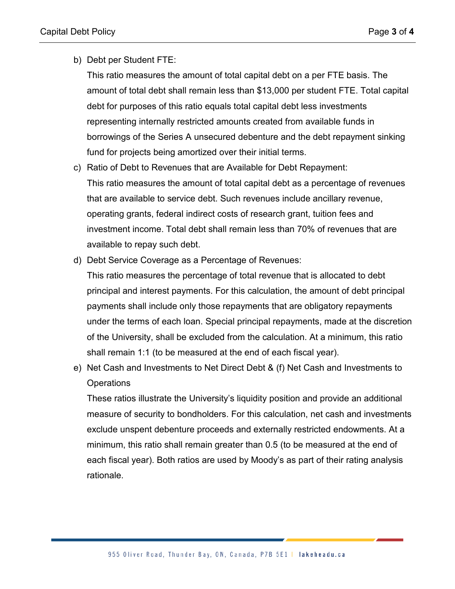b) Debt per Student FTE:

This ratio measures the amount of total capital debt on a per FTE basis. The amount of total debt shall remain less than \$13,000 per student FTE. Total capital debt for purposes of this ratio equals total capital debt less investments representing internally restricted amounts created from available funds in borrowings of the Series A unsecured debenture and the debt repayment sinking fund for projects being amortized over their initial terms.

- c) Ratio of Debt to Revenues that are Available for Debt Repayment: This ratio measures the amount of total capital debt as a percentage of revenues that are available to service debt. Such revenues include ancillary revenue, operating grants, federal indirect costs of research grant, tuition fees and investment income. Total debt shall remain less than 70% of revenues that are available to repay such debt.
- d) Debt Service Coverage as a Percentage of Revenues:

This ratio measures the percentage of total revenue that is allocated to debt principal and interest payments. For this calculation, the amount of debt principal payments shall include only those repayments that are obligatory repayments under the terms of each loan. Special principal repayments, made at the discretion of the University, shall be excluded from the calculation. At a minimum, this ratio shall remain 1:1 (to be measured at the end of each fiscal year).

e) Net Cash and Investments to Net Direct Debt & (f) Net Cash and Investments to **Operations** 

These ratios illustrate the University's liquidity position and provide an additional measure of security to bondholders. For this calculation, net cash and investments exclude unspent debenture proceeds and externally restricted endowments. At a minimum, this ratio shall remain greater than 0.5 (to be measured at the end of each fiscal year). Both ratios are used by Moody's as part of their rating analysis rationale.